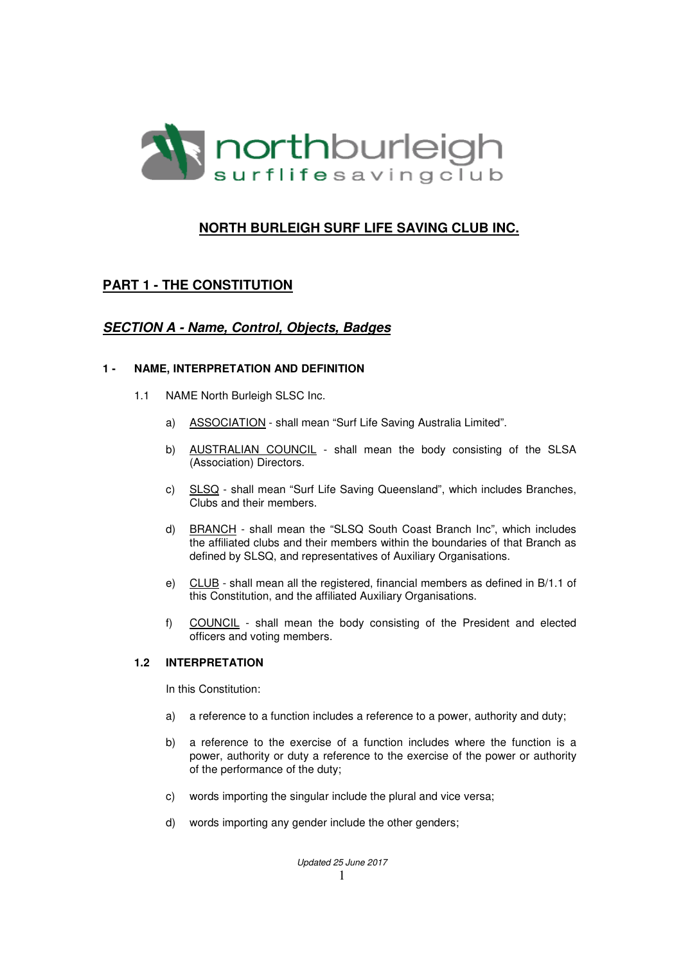

# **NORTH BURLEIGH SURF LIFE SAVING CLUB INC.**

# **PART 1 - THE CONSTITUTION**

## **SECTION A - Name, Control, Objects, Badges**

### **1 - NAME, INTERPRETATION AND DEFINITION**

- 1.1 NAME North Burleigh SLSC Inc.
	- a) ASSOCIATION shall mean "Surf Life Saving Australia Limited".
	- b) AUSTRALIAN COUNCIL shall mean the body consisting of the SLSA (Association) Directors.
	- c) SLSQ shall mean "Surf Life Saving Queensland", which includes Branches, Clubs and their members.
	- d) BRANCH shall mean the "SLSQ South Coast Branch Inc", which includes the affiliated clubs and their members within the boundaries of that Branch as defined by SLSQ, and representatives of Auxiliary Organisations.
	- e) CLUB shall mean all the registered, financial members as defined in B/1.1 of this Constitution, and the affiliated Auxiliary Organisations.
	- f) COUNCIL shall mean the body consisting of the President and elected officers and voting members.

### **1.2 INTERPRETATION**

In this Constitution:

- a) a reference to a function includes a reference to a power, authority and duty;
- b) a reference to the exercise of a function includes where the function is a power, authority or duty a reference to the exercise of the power or authority of the performance of the duty;
- c) words importing the singular include the plural and vice versa;
- d) words importing any gender include the other genders;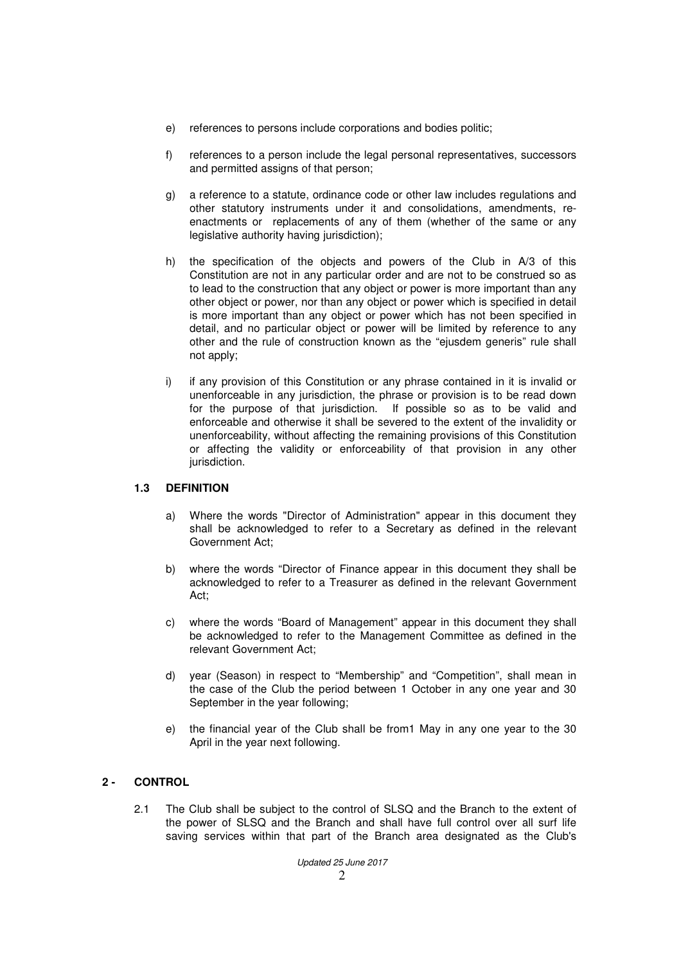- e) references to persons include corporations and bodies politic;
- f) references to a person include the legal personal representatives, successors and permitted assigns of that person;
- g) a reference to a statute, ordinance code or other law includes regulations and other statutory instruments under it and consolidations, amendments, reenactments or replacements of any of them (whether of the same or any legislative authority having jurisdiction);
- h) the specification of the objects and powers of the Club in A/3 of this Constitution are not in any particular order and are not to be construed so as to lead to the construction that any object or power is more important than any other object or power, nor than any object or power which is specified in detail is more important than any object or power which has not been specified in detail, and no particular object or power will be limited by reference to any other and the rule of construction known as the "ejusdem generis" rule shall not apply;
- i) if any provision of this Constitution or any phrase contained in it is invalid or unenforceable in any jurisdiction, the phrase or provision is to be read down for the purpose of that jurisdiction. If possible so as to be valid and enforceable and otherwise it shall be severed to the extent of the invalidity or unenforceability, without affecting the remaining provisions of this Constitution or affecting the validity or enforceability of that provision in any other jurisdiction.

### **1.3 DEFINITION**

- a) Where the words "Director of Administration" appear in this document they shall be acknowledged to refer to a Secretary as defined in the relevant Government Act;
- b) where the words "Director of Finance appear in this document they shall be acknowledged to refer to a Treasurer as defined in the relevant Government Act;
- c) where the words "Board of Management" appear in this document they shall be acknowledged to refer to the Management Committee as defined in the relevant Government Act;
- d) year (Season) in respect to "Membership" and "Competition", shall mean in the case of the Club the period between 1 October in any one year and 30 September in the year following;
- e) the financial year of the Club shall be from1 May in any one year to the 30 April in the year next following.

## **2 - CONTROL**

2.1 The Club shall be subject to the control of SLSQ and the Branch to the extent of the power of SLSQ and the Branch and shall have full control over all surf life saving services within that part of the Branch area designated as the Club's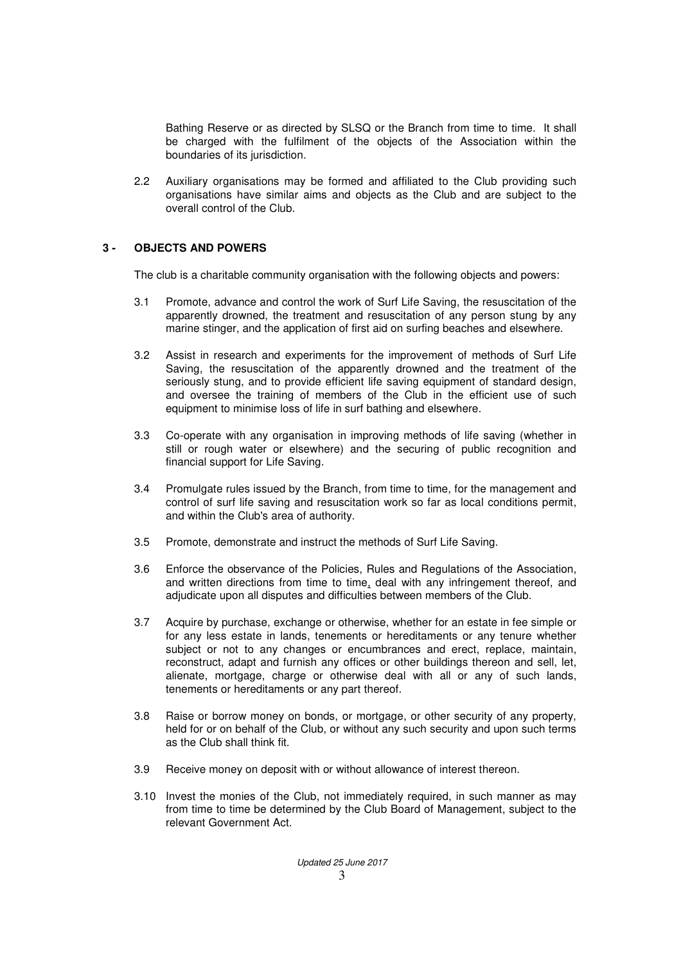Bathing Reserve or as directed by SLSQ or the Branch from time to time. It shall be charged with the fulfilment of the objects of the Association within the boundaries of its jurisdiction.

2.2 Auxiliary organisations may be formed and affiliated to the Club providing such organisations have similar aims and objects as the Club and are subject to the overall control of the Club.

### **3 - OBJECTS AND POWERS**

The club is a charitable community organisation with the following objects and powers:

- 3.1 Promote, advance and control the work of Surf Life Saving, the resuscitation of the apparently drowned, the treatment and resuscitation of any person stung by any marine stinger, and the application of first aid on surfing beaches and elsewhere.
- 3.2 Assist in research and experiments for the improvement of methods of Surf Life Saving, the resuscitation of the apparently drowned and the treatment of the seriously stung, and to provide efficient life saving equipment of standard design, and oversee the training of members of the Club in the efficient use of such equipment to minimise loss of life in surf bathing and elsewhere.
- 3.3 Co-operate with any organisation in improving methods of life saving (whether in still or rough water or elsewhere) and the securing of public recognition and financial support for Life Saving.
- 3.4 Promulgate rules issued by the Branch, from time to time, for the management and control of surf life saving and resuscitation work so far as local conditions permit, and within the Club's area of authority.
- 3.5 Promote, demonstrate and instruct the methods of Surf Life Saving.
- 3.6 Enforce the observance of the Policies, Rules and Regulations of the Association, and written directions from time to time, deal with any infringement thereof, and adjudicate upon all disputes and difficulties between members of the Club.
- 3.7 Acquire by purchase, exchange or otherwise, whether for an estate in fee simple or for any less estate in lands, tenements or hereditaments or any tenure whether subject or not to any changes or encumbrances and erect, replace, maintain, reconstruct, adapt and furnish any offices or other buildings thereon and sell, let, alienate, mortgage, charge or otherwise deal with all or any of such lands, tenements or hereditaments or any part thereof.
- 3.8 Raise or borrow money on bonds, or mortgage, or other security of any property, held for or on behalf of the Club, or without any such security and upon such terms as the Club shall think fit.
- 3.9 Receive money on deposit with or without allowance of interest thereon.
- 3.10 Invest the monies of the Club, not immediately required, in such manner as may from time to time be determined by the Club Board of Management, subject to the relevant Government Act.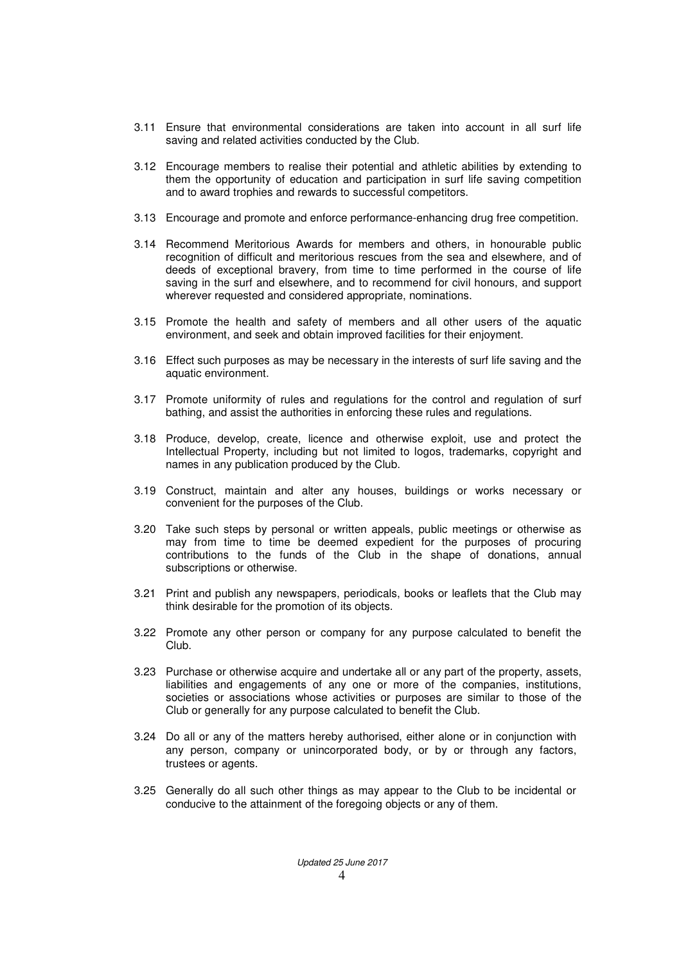- 3.11 Ensure that environmental considerations are taken into account in all surf life saving and related activities conducted by the Club.
- 3.12 Encourage members to realise their potential and athletic abilities by extending to them the opportunity of education and participation in surf life saving competition and to award trophies and rewards to successful competitors.
- 3.13 Encourage and promote and enforce performance-enhancing drug free competition.
- 3.14 Recommend Meritorious Awards for members and others, in honourable public recognition of difficult and meritorious rescues from the sea and elsewhere, and of deeds of exceptional bravery, from time to time performed in the course of life saving in the surf and elsewhere, and to recommend for civil honours, and support wherever requested and considered appropriate, nominations.
- 3.15 Promote the health and safety of members and all other users of the aquatic environment, and seek and obtain improved facilities for their enjoyment.
- 3.16 Effect such purposes as may be necessary in the interests of surf life saving and the aquatic environment.
- 3.17 Promote uniformity of rules and regulations for the control and regulation of surf bathing, and assist the authorities in enforcing these rules and regulations.
- 3.18 Produce, develop, create, licence and otherwise exploit, use and protect the Intellectual Property, including but not limited to logos, trademarks, copyright and names in any publication produced by the Club.
- 3.19 Construct, maintain and alter any houses, buildings or works necessary or convenient for the purposes of the Club.
- 3.20 Take such steps by personal or written appeals, public meetings or otherwise as may from time to time be deemed expedient for the purposes of procuring contributions to the funds of the Club in the shape of donations, annual subscriptions or otherwise.
- 3.21 Print and publish any newspapers, periodicals, books or leaflets that the Club may think desirable for the promotion of its objects.
- 3.22 Promote any other person or company for any purpose calculated to benefit the Club.
- 3.23 Purchase or otherwise acquire and undertake all or any part of the property, assets, liabilities and engagements of any one or more of the companies, institutions, societies or associations whose activities or purposes are similar to those of the Club or generally for any purpose calculated to benefit the Club.
- 3.24 Do all or any of the matters hereby authorised, either alone or in conjunction with any person, company or unincorporated body, or by or through any factors, trustees or agents.
- 3.25 Generally do all such other things as may appear to the Club to be incidental or conducive to the attainment of the foregoing objects or any of them.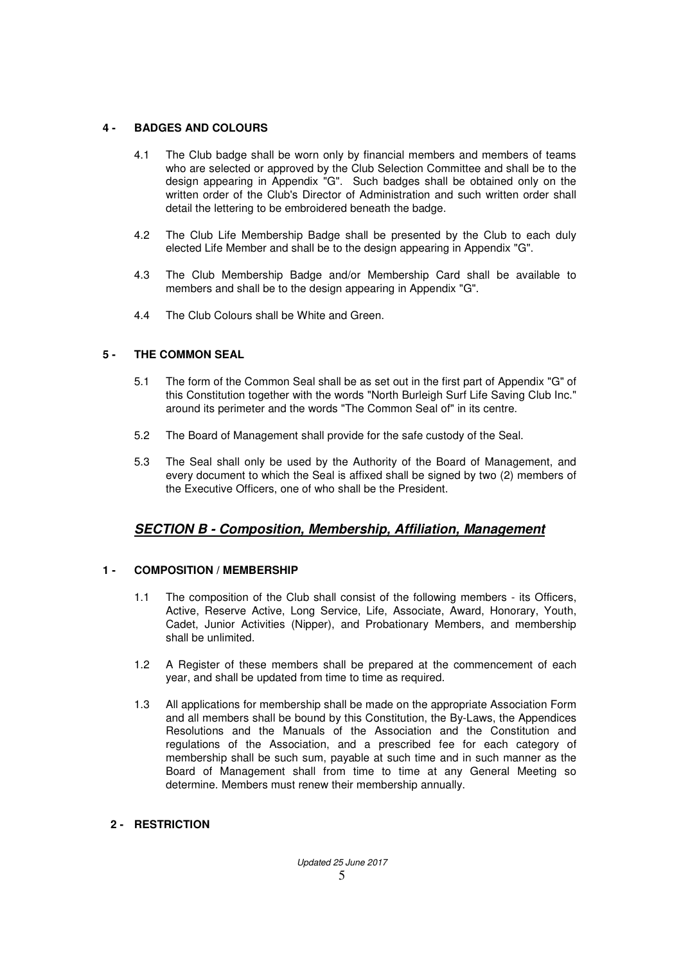## **4 - BADGES AND COLOURS**

- 4.1 The Club badge shall be worn only by financial members and members of teams who are selected or approved by the Club Selection Committee and shall be to the design appearing in Appendix "G". Such badges shall be obtained only on the written order of the Club's Director of Administration and such written order shall detail the lettering to be embroidered beneath the badge.
- 4.2 The Club Life Membership Badge shall be presented by the Club to each duly elected Life Member and shall be to the design appearing in Appendix "G".
- 4.3 The Club Membership Badge and/or Membership Card shall be available to members and shall be to the design appearing in Appendix "G".
- 4.4 The Club Colours shall be White and Green.

## **5 - THE COMMON SEAL**

- 5.1 The form of the Common Seal shall be as set out in the first part of Appendix "G" of this Constitution together with the words "North Burleigh Surf Life Saving Club Inc." around its perimeter and the words "The Common Seal of" in its centre.
- 5.2 The Board of Management shall provide for the safe custody of the Seal.
- 5.3 The Seal shall only be used by the Authority of the Board of Management, and every document to which the Seal is affixed shall be signed by two (2) members of the Executive Officers, one of who shall be the President.

# **SECTION B - Composition, Membership, Affiliation, Management**

### **1 - COMPOSITION / MEMBERSHIP**

- 1.1 The composition of the Club shall consist of the following members its Officers, Active, Reserve Active, Long Service, Life, Associate, Award, Honorary, Youth, Cadet, Junior Activities (Nipper), and Probationary Members, and membership shall be unlimited.
- 1.2 A Register of these members shall be prepared at the commencement of each year, and shall be updated from time to time as required.
- 1.3 All applications for membership shall be made on the appropriate Association Form and all members shall be bound by this Constitution, the By-Laws, the Appendices Resolutions and the Manuals of the Association and the Constitution and regulations of the Association, and a prescribed fee for each category of membership shall be such sum, payable at such time and in such manner as the Board of Management shall from time to time at any General Meeting so determine. Members must renew their membership annually.

### **2 - RESTRICTION**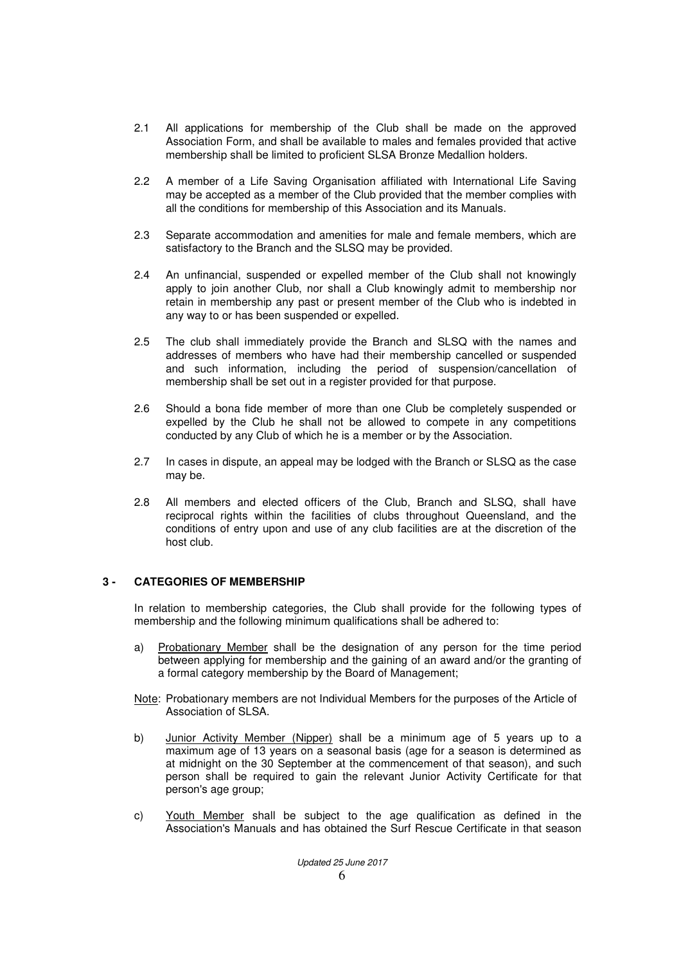- 2.1 All applications for membership of the Club shall be made on the approved Association Form, and shall be available to males and females provided that active membership shall be limited to proficient SLSA Bronze Medallion holders.
- 2.2 A member of a Life Saving Organisation affiliated with International Life Saving may be accepted as a member of the Club provided that the member complies with all the conditions for membership of this Association and its Manuals.
- 2.3 Separate accommodation and amenities for male and female members, which are satisfactory to the Branch and the SLSQ may be provided.
- 2.4 An unfinancial, suspended or expelled member of the Club shall not knowingly apply to join another Club, nor shall a Club knowingly admit to membership nor retain in membership any past or present member of the Club who is indebted in any way to or has been suspended or expelled.
- 2.5 The club shall immediately provide the Branch and SLSQ with the names and addresses of members who have had their membership cancelled or suspended and such information, including the period of suspension/cancellation of membership shall be set out in a register provided for that purpose.
- 2.6 Should a bona fide member of more than one Club be completely suspended or expelled by the Club he shall not be allowed to compete in any competitions conducted by any Club of which he is a member or by the Association.
- 2.7 In cases in dispute, an appeal may be lodged with the Branch or SLSQ as the case may be.
- 2.8 All members and elected officers of the Club, Branch and SLSQ, shall have reciprocal rights within the facilities of clubs throughout Queensland, and the conditions of entry upon and use of any club facilities are at the discretion of the host club.

### **3 - CATEGORIES OF MEMBERSHIP**

In relation to membership categories, the Club shall provide for the following types of membership and the following minimum qualifications shall be adhered to:

- a) Probationary Member shall be the designation of any person for the time period between applying for membership and the gaining of an award and/or the granting of a formal category membership by the Board of Management;
- Note: Probationary members are not Individual Members for the purposes of the Article of Association of SLSA.
- b) Junior Activity Member (Nipper) shall be a minimum age of 5 years up to a maximum age of 13 years on a seasonal basis (age for a season is determined as at midnight on the 30 September at the commencement of that season), and such person shall be required to gain the relevant Junior Activity Certificate for that person's age group;
- c) Youth Member shall be subject to the age qualification as defined in the Association's Manuals and has obtained the Surf Rescue Certificate in that season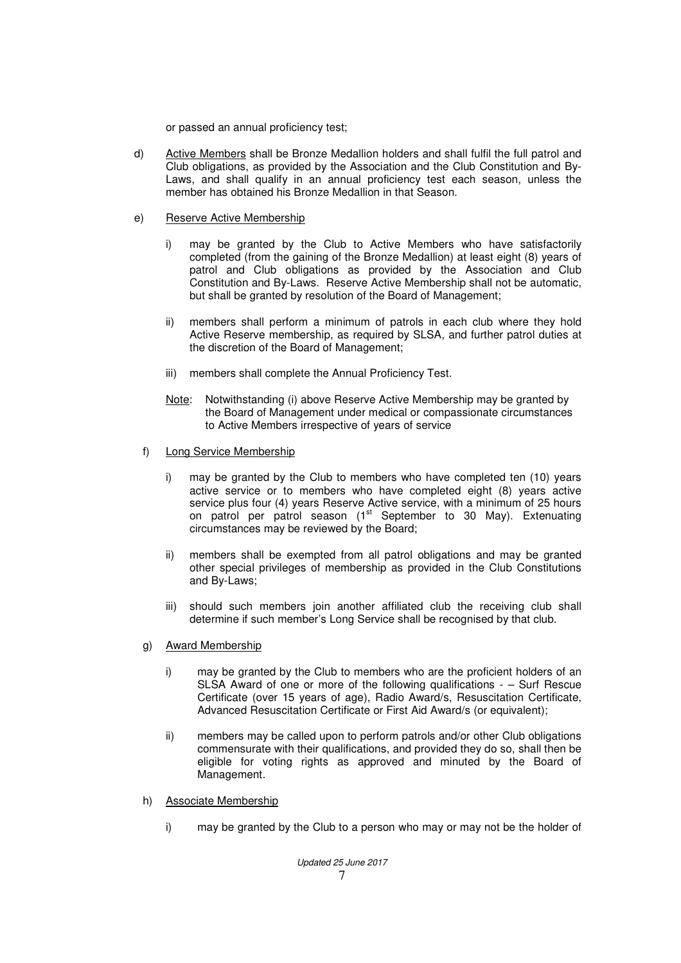or passed an annual proficiency test;

- d) Active Members shall be Bronze Medallion holders and shall fulfil the full patrol and Club obligations, as provided by the Association and the Club Constitution and By-Laws, and shall qualify in an annual proficiency test each season, unless the member has obtained his Bronze Medallion in that Season.
- e) Reserve Active Membership
	- i) may be granted by the Club to Active Members who have satisfactorily completed (from the gaining of the Bronze Medallion) at least eight (8) years of patrol and Club obligations as provided by the Association and Club Constitution and By-Laws. Reserve Active Membership shall not be automatic, but shall be granted by resolution of the Board of Management;
	- ii) members shall perform a minimum of patrols in each club where they hold Active Reserve membership, as required by SLSA, and further patrol duties at the discretion of the Board of Management;
	- iii) members shall complete the Annual Proficiency Test.
	- Note: Notwithstanding (i) above Reserve Active Membership may be granted by the Board of Management under medical or compassionate circumstances to Active Members irrespective of years of service
	- f) Long Service Membership
		- i) may be granted by the Club to members who have completed ten (10) years active service or to members who have completed eight (8) years active service plus four (4) years Reserve Active service, with a minimum of 25 hours on patrol per patrol season (1<sup>st</sup> September to 30 May). Extenuating circumstances may be reviewed by the Board;
		- ii) members shall be exempted from all patrol obligations and may be granted other special privileges of membership as provided in the Club Constitutions and By-Laws;
		- iii) should such members join another affiliated club the receiving club shall determine if such member's Long Service shall be recognised by that club.
	- g) Award Membership
		- i) may be granted by the Club to members who are the proficient holders of an SLSA Award of one or more of the following qualifications - – Surf Rescue Certificate (over 15 years of age), Radio Award/s, Resuscitation Certificate, Advanced Resuscitation Certificate or First Aid Award/s (or equivalent);
		- ii) members may be called upon to perform patrols and/or other Club obligations commensurate with their qualifications, and provided they do so, shall then be eligible for voting rights as approved and minuted by the Board of Management.
	- h) Associate Membership
		- i) may be granted by the Club to a person who may or may not be the holder of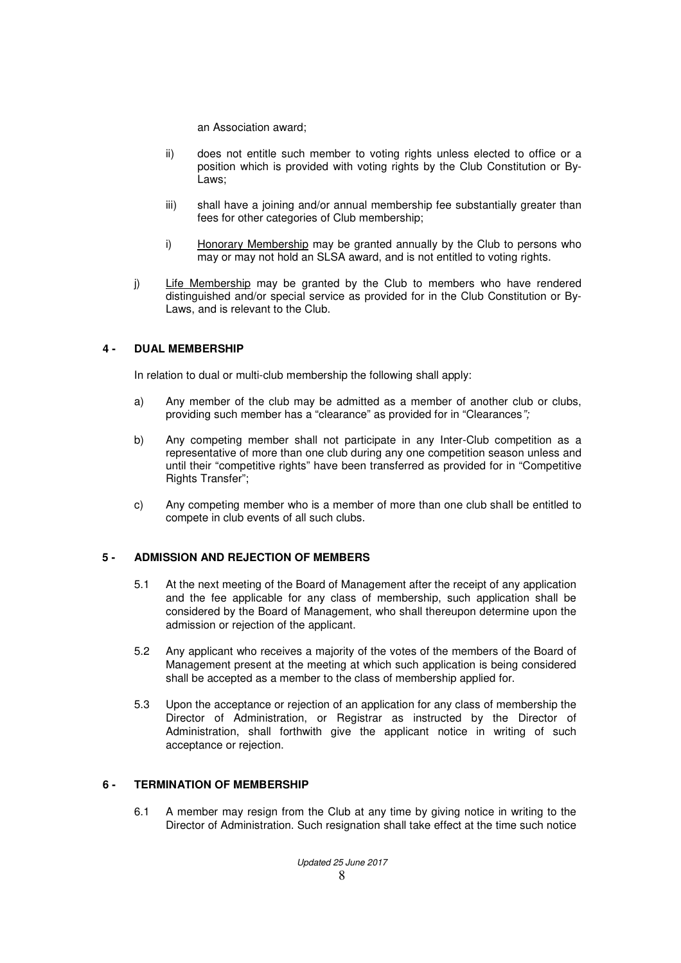an Association award;

- ii) does not entitle such member to voting rights unless elected to office or a position which is provided with voting rights by the Club Constitution or By-Laws;
- iii) shall have a joining and/or annual membership fee substantially greater than fees for other categories of Club membership;
- i) Honorary Membership may be granted annually by the Club to persons who may or may not hold an SLSA award, and is not entitled to voting rights.
- j) Life Membership may be granted by the Club to members who have rendered distinguished and/or special service as provided for in the Club Constitution or By-Laws, and is relevant to the Club.

### **4 - DUAL MEMBERSHIP**

In relation to dual or multi-club membership the following shall apply:

- a) Any member of the club may be admitted as a member of another club or clubs, providing such member has a "clearance" as provided for in "Clearances";
- b) Any competing member shall not participate in any Inter-Club competition as a representative of more than one club during any one competition season unless and until their "competitive rights" have been transferred as provided for in "Competitive Rights Transfer";
- c) Any competing member who is a member of more than one club shall be entitled to compete in club events of all such clubs.

### **5 - ADMISSION AND REJECTION OF MEMBERS**

- 5.1 At the next meeting of the Board of Management after the receipt of any application and the fee applicable for any class of membership, such application shall be considered by the Board of Management, who shall thereupon determine upon the admission or rejection of the applicant.
- 5.2 Any applicant who receives a majority of the votes of the members of the Board of Management present at the meeting at which such application is being considered shall be accepted as a member to the class of membership applied for.
- 5.3 Upon the acceptance or rejection of an application for any class of membership the Director of Administration, or Registrar as instructed by the Director of Administration, shall forthwith give the applicant notice in writing of such acceptance or rejection.

#### **6 - TERMINATION OF MEMBERSHIP**

6.1 A member may resign from the Club at any time by giving notice in writing to the Director of Administration. Such resignation shall take effect at the time such notice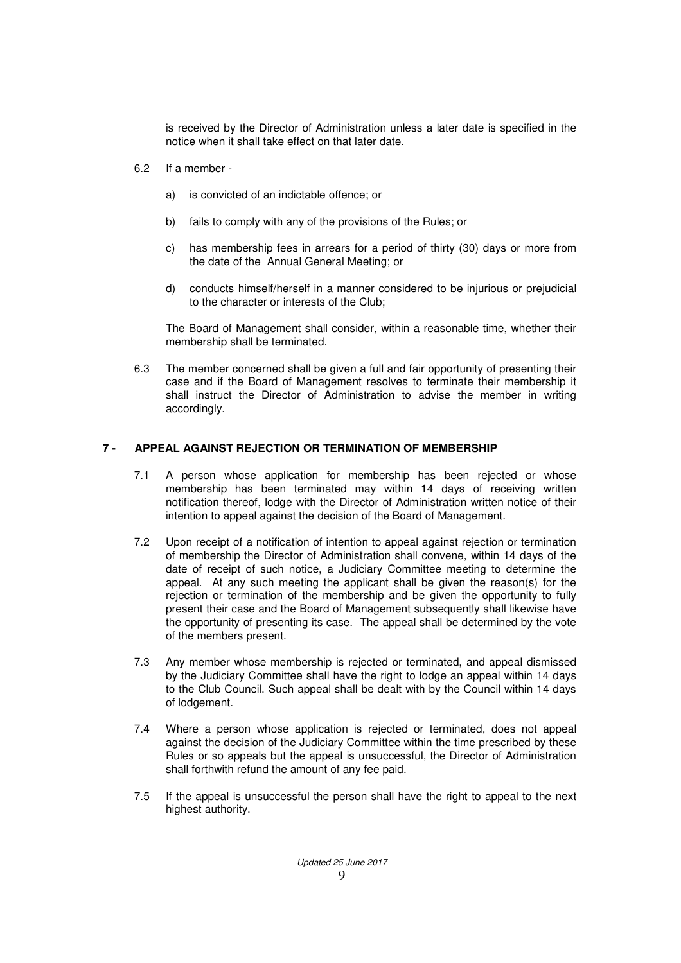is received by the Director of Administration unless a later date is specified in the notice when it shall take effect on that later date.

- 6.2 If a member
	- a) is convicted of an indictable offence; or
	- b) fails to comply with any of the provisions of the Rules; or
	- c) has membership fees in arrears for a period of thirty (30) days or more from the date of the Annual General Meeting; or
	- d) conducts himself/herself in a manner considered to be injurious or prejudicial to the character or interests of the Club;

The Board of Management shall consider, within a reasonable time, whether their membership shall be terminated.

6.3 The member concerned shall be given a full and fair opportunity of presenting their case and if the Board of Management resolves to terminate their membership it shall instruct the Director of Administration to advise the member in writing accordingly.

### **7 - APPEAL AGAINST REJECTION OR TERMINATION OF MEMBERSHIP**

- 7.1 A person whose application for membership has been rejected or whose membership has been terminated may within 14 days of receiving written notification thereof, lodge with the Director of Administration written notice of their intention to appeal against the decision of the Board of Management.
- 7.2 Upon receipt of a notification of intention to appeal against rejection or termination of membership the Director of Administration shall convene, within 14 days of the date of receipt of such notice, a Judiciary Committee meeting to determine the appeal. At any such meeting the applicant shall be given the reason(s) for the rejection or termination of the membership and be given the opportunity to fully present their case and the Board of Management subsequently shall likewise have the opportunity of presenting its case. The appeal shall be determined by the vote of the members present.
- 7.3 Any member whose membership is rejected or terminated, and appeal dismissed by the Judiciary Committee shall have the right to lodge an appeal within 14 days to the Club Council. Such appeal shall be dealt with by the Council within 14 days of lodgement.
- 7.4 Where a person whose application is rejected or terminated, does not appeal against the decision of the Judiciary Committee within the time prescribed by these Rules or so appeals but the appeal is unsuccessful, the Director of Administration shall forthwith refund the amount of any fee paid.
- 7.5 If the appeal is unsuccessful the person shall have the right to appeal to the next highest authority.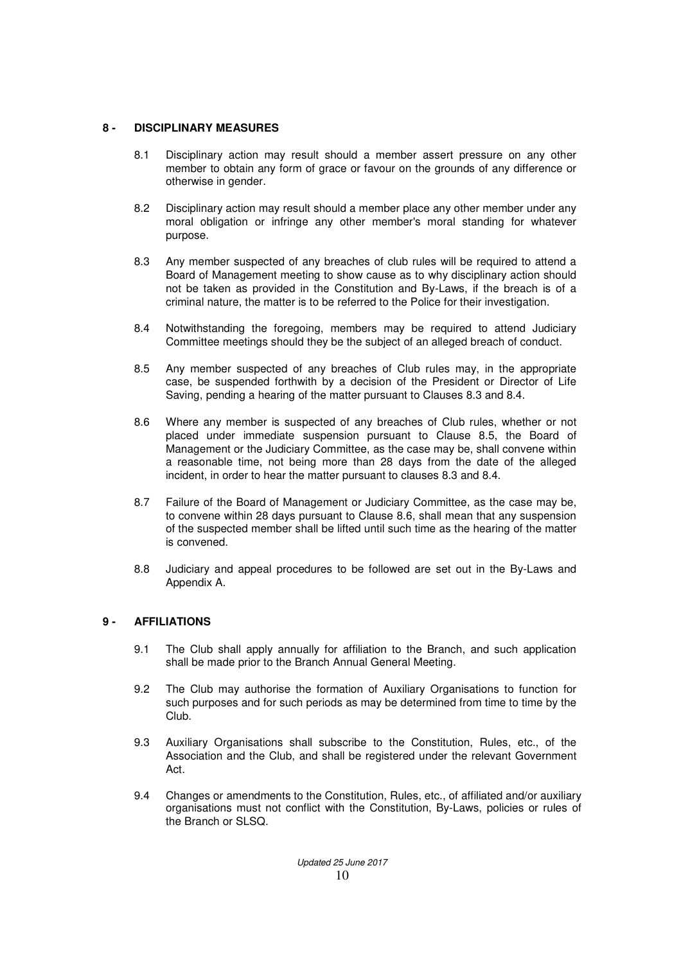## **8 - DISCIPLINARY MEASURES**

- 8.1 Disciplinary action may result should a member assert pressure on any other member to obtain any form of grace or favour on the grounds of any difference or otherwise in gender.
- 8.2 Disciplinary action may result should a member place any other member under any moral obligation or infringe any other member's moral standing for whatever purpose.
- 8.3 Any member suspected of any breaches of club rules will be required to attend a Board of Management meeting to show cause as to why disciplinary action should not be taken as provided in the Constitution and By-Laws, if the breach is of a criminal nature, the matter is to be referred to the Police for their investigation.
- 8.4 Notwithstanding the foregoing, members may be required to attend Judiciary Committee meetings should they be the subject of an alleged breach of conduct.
- 8.5 Any member suspected of any breaches of Club rules may, in the appropriate case, be suspended forthwith by a decision of the President or Director of Life Saving, pending a hearing of the matter pursuant to Clauses 8.3 and 8.4.
- 8.6 Where any member is suspected of any breaches of Club rules, whether or not placed under immediate suspension pursuant to Clause 8.5, the Board of Management or the Judiciary Committee, as the case may be, shall convene within a reasonable time, not being more than 28 days from the date of the alleged incident, in order to hear the matter pursuant to clauses 8.3 and 8.4.
- 8.7 Failure of the Board of Management or Judiciary Committee, as the case may be, to convene within 28 days pursuant to Clause 8.6, shall mean that any suspension of the suspected member shall be lifted until such time as the hearing of the matter is convened.
- 8.8 Judiciary and appeal procedures to be followed are set out in the By-Laws and Appendix A.

## **9 - AFFILIATIONS**

- 9.1 The Club shall apply annually for affiliation to the Branch, and such application shall be made prior to the Branch Annual General Meeting.
- 9.2 The Club may authorise the formation of Auxiliary Organisations to function for such purposes and for such periods as may be determined from time to time by the Club.
- 9.3 Auxiliary Organisations shall subscribe to the Constitution, Rules, etc., of the Association and the Club, and shall be registered under the relevant Government Act.
- 9.4 Changes or amendments to the Constitution, Rules, etc., of affiliated and/or auxiliary organisations must not conflict with the Constitution, By-Laws, policies or rules of the Branch or SLSQ.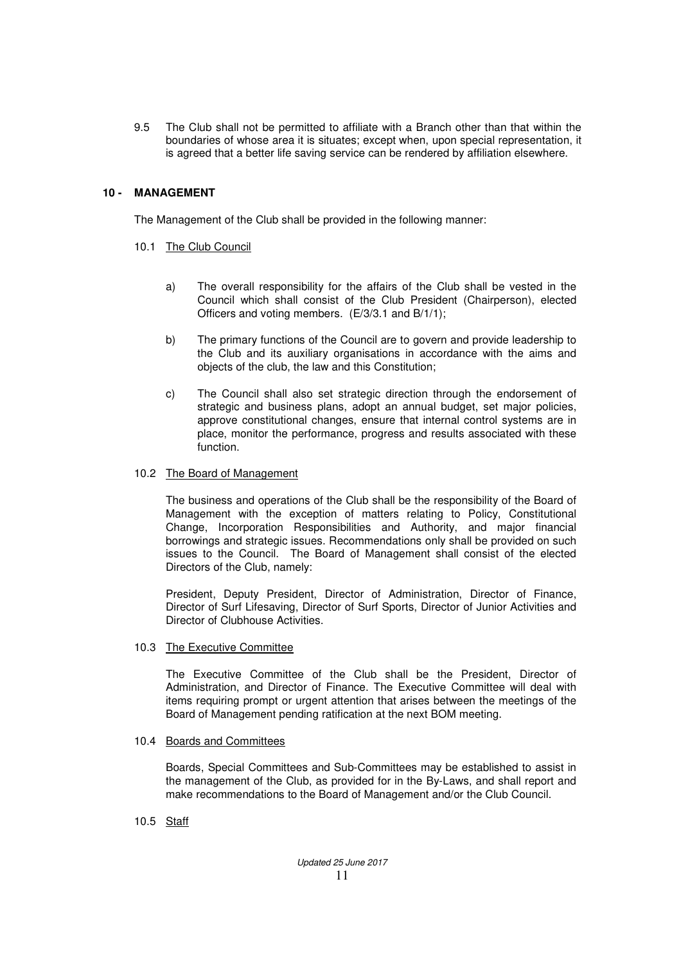9.5 The Club shall not be permitted to affiliate with a Branch other than that within the boundaries of whose area it is situates; except when, upon special representation, it is agreed that a better life saving service can be rendered by affiliation elsewhere.

## **10 - MANAGEMENT**

The Management of the Club shall be provided in the following manner:

### 10.1 The Club Council

- a) The overall responsibility for the affairs of the Club shall be vested in the Council which shall consist of the Club President (Chairperson), elected Officers and voting members. (E/3/3.1 and B/1/1);
- b) The primary functions of the Council are to govern and provide leadership to the Club and its auxiliary organisations in accordance with the aims and objects of the club, the law and this Constitution;
- c) The Council shall also set strategic direction through the endorsement of strategic and business plans, adopt an annual budget, set major policies, approve constitutional changes, ensure that internal control systems are in place, monitor the performance, progress and results associated with these function.

#### 10.2 The Board of Management

The business and operations of the Club shall be the responsibility of the Board of Management with the exception of matters relating to Policy, Constitutional Change, Incorporation Responsibilities and Authority, and major financial borrowings and strategic issues. Recommendations only shall be provided on such issues to the Council. The Board of Management shall consist of the elected Directors of the Club, namely:

President, Deputy President, Director of Administration, Director of Finance, Director of Surf Lifesaving, Director of Surf Sports, Director of Junior Activities and Director of Clubhouse Activities.

#### 10.3 The Executive Committee

The Executive Committee of the Club shall be the President, Director of Administration, and Director of Finance. The Executive Committee will deal with items requiring prompt or urgent attention that arises between the meetings of the Board of Management pending ratification at the next BOM meeting.

#### 10.4 Boards and Committees

Boards, Special Committees and Sub-Committees may be established to assist in the management of the Club, as provided for in the By-Laws, and shall report and make recommendations to the Board of Management and/or the Club Council.

10.5 Staff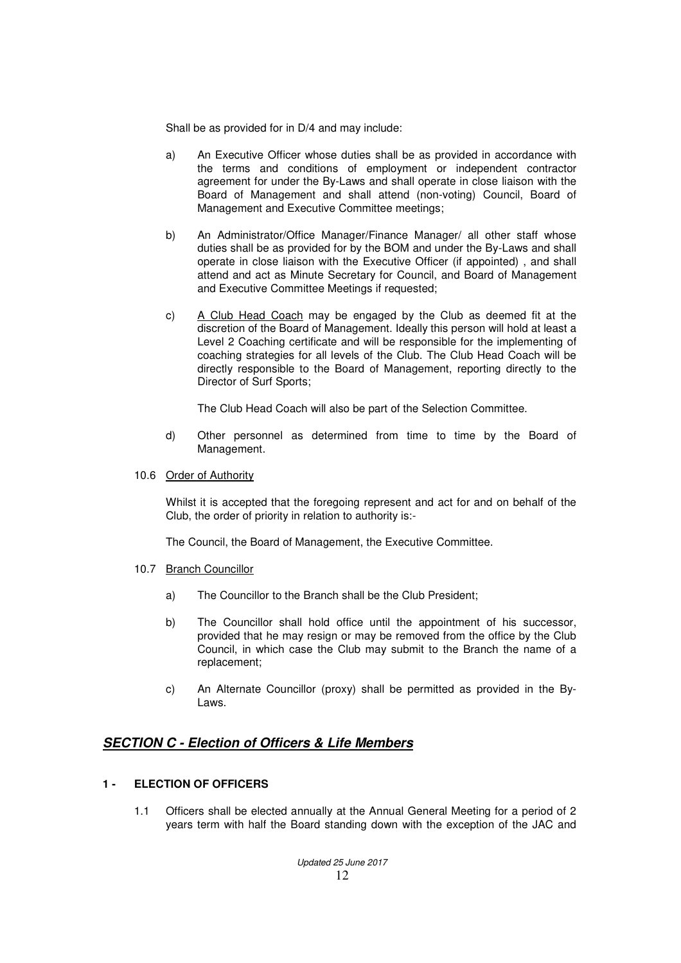Shall be as provided for in D/4 and may include:

- a) An Executive Officer whose duties shall be as provided in accordance with the terms and conditions of employment or independent contractor agreement for under the By-Laws and shall operate in close liaison with the Board of Management and shall attend (non-voting) Council, Board of Management and Executive Committee meetings;
- b) An Administrator/Office Manager/Finance Manager/ all other staff whose duties shall be as provided for by the BOM and under the By-Laws and shall operate in close liaison with the Executive Officer (if appointed) , and shall attend and act as Minute Secretary for Council, and Board of Management and Executive Committee Meetings if requested;
- c) A Club Head Coach may be engaged by the Club as deemed fit at the discretion of the Board of Management. Ideally this person will hold at least a Level 2 Coaching certificate and will be responsible for the implementing of coaching strategies for all levels of the Club. The Club Head Coach will be directly responsible to the Board of Management, reporting directly to the Director of Surf Sports;

The Club Head Coach will also be part of the Selection Committee.

- d) Other personnel as determined from time to time by the Board of Management.
- 10.6 Order of Authority

 Whilst it is accepted that the foregoing represent and act for and on behalf of the Club, the order of priority in relation to authority is:-

The Council, the Board of Management, the Executive Committee.

- 10.7 Branch Councillor
	- a) The Councillor to the Branch shall be the Club President;
	- b) The Councillor shall hold office until the appointment of his successor, provided that he may resign or may be removed from the office by the Club Council, in which case the Club may submit to the Branch the name of a replacement;
	- c) An Alternate Councillor (proxy) shall be permitted as provided in the By-Laws.

# **SECTION C - Election of Officers & Life Members**

### **1 - ELECTION OF OFFICERS**

1.1 Officers shall be elected annually at the Annual General Meeting for a period of 2 years term with half the Board standing down with the exception of the JAC and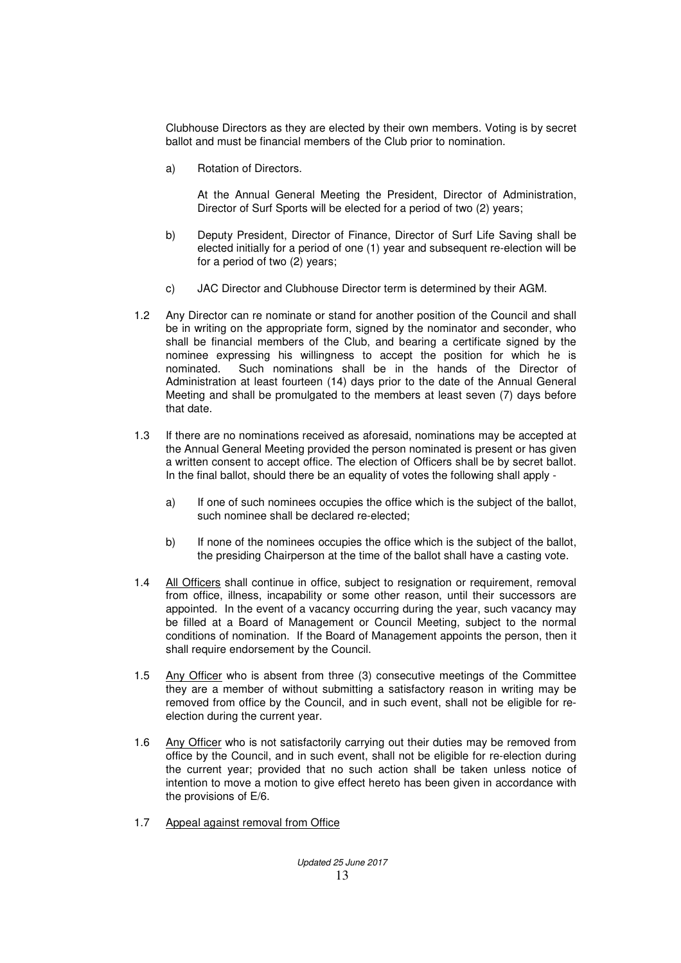Clubhouse Directors as they are elected by their own members. Voting is by secret ballot and must be financial members of the Club prior to nomination.

a) Rotation of Directors.

At the Annual General Meeting the President, Director of Administration, Director of Surf Sports will be elected for a period of two (2) years;

- b) Deputy President, Director of Finance, Director of Surf Life Saving shall be elected initially for a period of one (1) year and subsequent re-election will be for a period of two (2) years;
- c) JAC Director and Clubhouse Director term is determined by their AGM.
- 1.2 Any Director can re nominate or stand for another position of the Council and shall be in writing on the appropriate form, signed by the nominator and seconder, who shall be financial members of the Club, and bearing a certificate signed by the nominee expressing his willingness to accept the position for which he is nominated. Such nominations shall be in the hands of the Director of Administration at least fourteen (14) days prior to the date of the Annual General Meeting and shall be promulgated to the members at least seven (7) days before that date.
- 1.3 If there are no nominations received as aforesaid, nominations may be accepted at the Annual General Meeting provided the person nominated is present or has given a written consent to accept office. The election of Officers shall be by secret ballot. In the final ballot, should there be an equality of votes the following shall apply
	- a) If one of such nominees occupies the office which is the subject of the ballot, such nominee shall be declared re-elected;
	- b) If none of the nominees occupies the office which is the subject of the ballot, the presiding Chairperson at the time of the ballot shall have a casting vote.
- 1.4 All Officers shall continue in office, subject to resignation or requirement, removal from office, illness, incapability or some other reason, until their successors are appointed. In the event of a vacancy occurring during the year, such vacancy may be filled at a Board of Management or Council Meeting, subject to the normal conditions of nomination. If the Board of Management appoints the person, then it shall require endorsement by the Council.
- 1.5 Any Officer who is absent from three (3) consecutive meetings of the Committee they are a member of without submitting a satisfactory reason in writing may be removed from office by the Council, and in such event, shall not be eligible for reelection during the current year.
- 1.6 Any Officer who is not satisfactorily carrying out their duties may be removed from office by the Council, and in such event, shall not be eligible for re-election during the current year; provided that no such action shall be taken unless notice of intention to move a motion to give effect hereto has been given in accordance with the provisions of E/6.
- 1.7 Appeal against removal from Office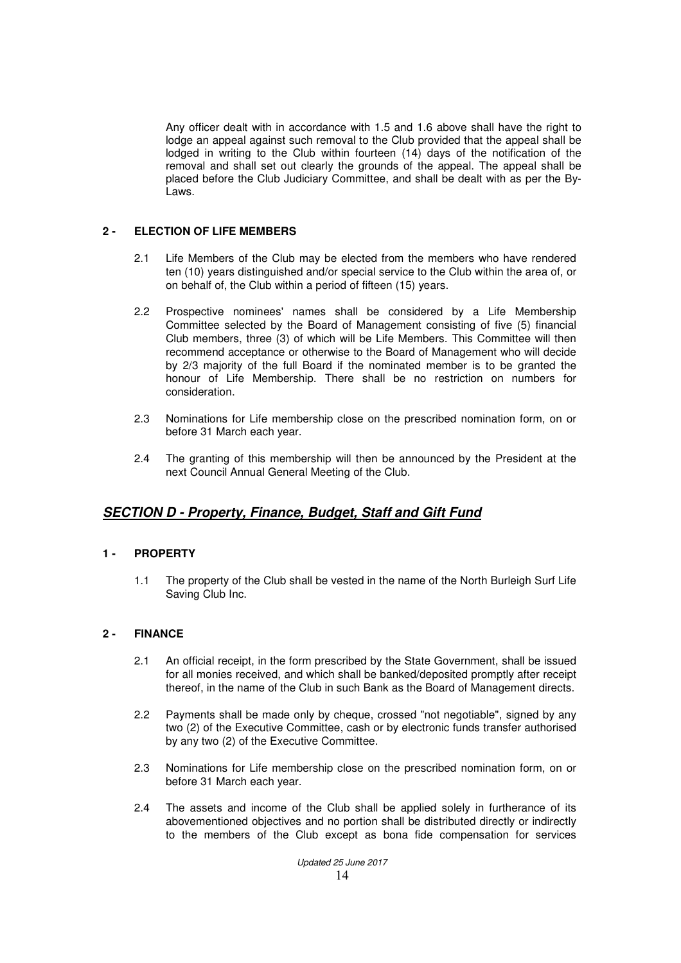Any officer dealt with in accordance with 1.5 and 1.6 above shall have the right to lodge an appeal against such removal to the Club provided that the appeal shall be lodged in writing to the Club within fourteen (14) days of the notification of the removal and shall set out clearly the grounds of the appeal. The appeal shall be placed before the Club Judiciary Committee, and shall be dealt with as per the By-Laws.

## **2 - ELECTION OF LIFE MEMBERS**

- 2.1 Life Members of the Club may be elected from the members who have rendered ten (10) years distinguished and/or special service to the Club within the area of, or on behalf of, the Club within a period of fifteen (15) years.
- 2.2 Prospective nominees' names shall be considered by a Life Membership Committee selected by the Board of Management consisting of five (5) financial Club members, three (3) of which will be Life Members. This Committee will then recommend acceptance or otherwise to the Board of Management who will decide by 2/3 majority of the full Board if the nominated member is to be granted the honour of Life Membership. There shall be no restriction on numbers for consideration.
- 2.3 Nominations for Life membership close on the prescribed nomination form, on or before 31 March each year.
- 2.4 The granting of this membership will then be announced by the President at the next Council Annual General Meeting of the Club.

# **SECTION D - Property, Finance, Budget, Staff and Gift Fund**

### **1 - PROPERTY**

1.1 The property of the Club shall be vested in the name of the North Burleigh Surf Life Saving Club Inc.

### **2 - FINANCE**

- 2.1 An official receipt, in the form prescribed by the State Government, shall be issued for all monies received, and which shall be banked/deposited promptly after receipt thereof, in the name of the Club in such Bank as the Board of Management directs.
- 2.2 Payments shall be made only by cheque, crossed "not negotiable", signed by any two (2) of the Executive Committee, cash or by electronic funds transfer authorised by any two (2) of the Executive Committee.
- 2.3 Nominations for Life membership close on the prescribed nomination form, on or before 31 March each year.
- 2.4 The assets and income of the Club shall be applied solely in furtherance of its abovementioned objectives and no portion shall be distributed directly or indirectly to the members of the Club except as bona fide compensation for services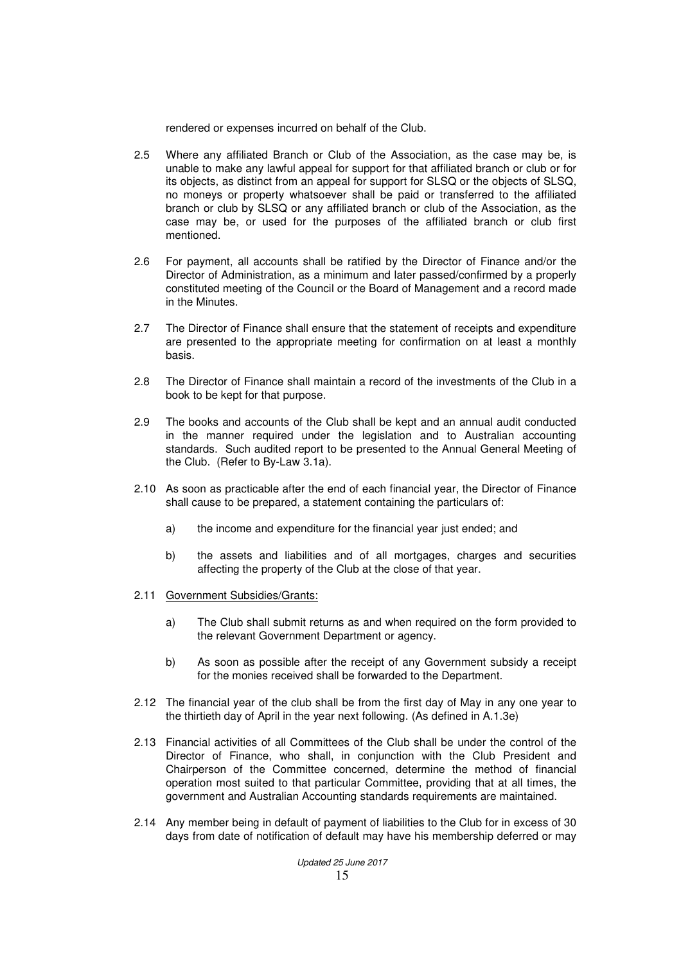rendered or expenses incurred on behalf of the Club.

- 2.5 Where any affiliated Branch or Club of the Association, as the case may be, is unable to make any lawful appeal for support for that affiliated branch or club or for its objects, as distinct from an appeal for support for SLSQ or the objects of SLSQ, no moneys or property whatsoever shall be paid or transferred to the affiliated branch or club by SLSQ or any affiliated branch or club of the Association, as the case may be, or used for the purposes of the affiliated branch or club first mentioned.
- 2.6 For payment, all accounts shall be ratified by the Director of Finance and/or the Director of Administration, as a minimum and later passed/confirmed by a properly constituted meeting of the Council or the Board of Management and a record made in the Minutes.
- 2.7 The Director of Finance shall ensure that the statement of receipts and expenditure are presented to the appropriate meeting for confirmation on at least a monthly basis.
- 2.8 The Director of Finance shall maintain a record of the investments of the Club in a book to be kept for that purpose.
- 2.9 The books and accounts of the Club shall be kept and an annual audit conducted in the manner required under the legislation and to Australian accounting standards. Such audited report to be presented to the Annual General Meeting of the Club. (Refer to By-Law 3.1a).
- 2.10 As soon as practicable after the end of each financial year, the Director of Finance shall cause to be prepared, a statement containing the particulars of:
	- a) the income and expenditure for the financial year just ended; and
	- b) the assets and liabilities and of all mortgages, charges and securities affecting the property of the Club at the close of that year.
- 2.11 Government Subsidies/Grants:
	- a) The Club shall submit returns as and when required on the form provided to the relevant Government Department or agency.
	- b) As soon as possible after the receipt of any Government subsidy a receipt for the monies received shall be forwarded to the Department.
- 2.12 The financial year of the club shall be from the first day of May in any one year to the thirtieth day of April in the year next following. (As defined in A.1.3e)
- 2.13 Financial activities of all Committees of the Club shall be under the control of the Director of Finance, who shall, in conjunction with the Club President and Chairperson of the Committee concerned, determine the method of financial operation most suited to that particular Committee, providing that at all times, the government and Australian Accounting standards requirements are maintained.
- 2.14 Any member being in default of payment of liabilities to the Club for in excess of 30 days from date of notification of default may have his membership deferred or may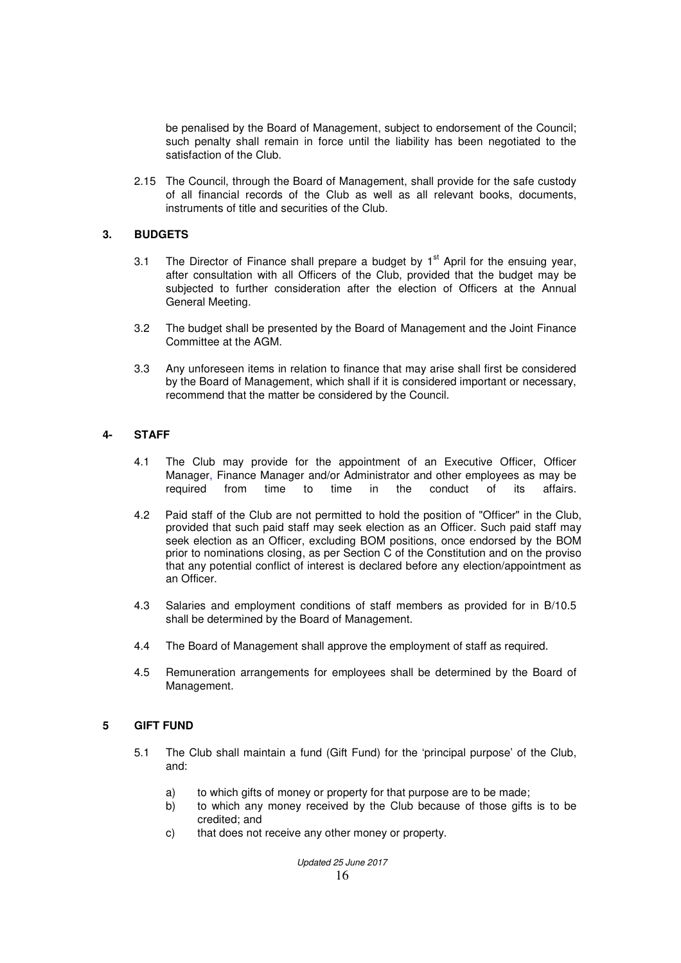be penalised by the Board of Management, subject to endorsement of the Council; such penalty shall remain in force until the liability has been negotiated to the satisfaction of the Club.

2.15 The Council, through the Board of Management, shall provide for the safe custody of all financial records of the Club as well as all relevant books, documents, instruments of title and securities of the Club.

#### **3. BUDGETS**

- 3.1 The Director of Finance shall prepare a budget by 1<sup>st</sup> April for the ensuing year, after consultation with all Officers of the Club, provided that the budget may be subjected to further consideration after the election of Officers at the Annual General Meeting.
- 3.2 The budget shall be presented by the Board of Management and the Joint Finance Committee at the AGM.
- 3.3 Any unforeseen items in relation to finance that may arise shall first be considered by the Board of Management, which shall if it is considered important or necessary, recommend that the matter be considered by the Council.

#### **4- STAFF**

- 4.1 The Club may provide for the appointment of an Executive Officer, Officer Manager, Finance Manager and/or Administrator and other employees as may be required from time to time in the conduct of its affairs.
- 4.2 Paid staff of the Club are not permitted to hold the position of "Officer" in the Club, provided that such paid staff may seek election as an Officer. Such paid staff may seek election as an Officer, excluding BOM positions, once endorsed by the BOM prior to nominations closing, as per Section C of the Constitution and on the proviso that any potential conflict of interest is declared before any election/appointment as an Officer.
- 4.3 Salaries and employment conditions of staff members as provided for in B/10.5 shall be determined by the Board of Management.
- 4.4 The Board of Management shall approve the employment of staff as required.
- 4.5 Remuneration arrangements for employees shall be determined by the Board of Management.

#### **5 GIFT FUND**

- 5.1 The Club shall maintain a fund (Gift Fund) for the 'principal purpose' of the Club, and:
	- a) to which gifts of money or property for that purpose are to be made;
	- b) to which any money received by the Club because of those gifts is to be credited; and
	- c) that does not receive any other money or property.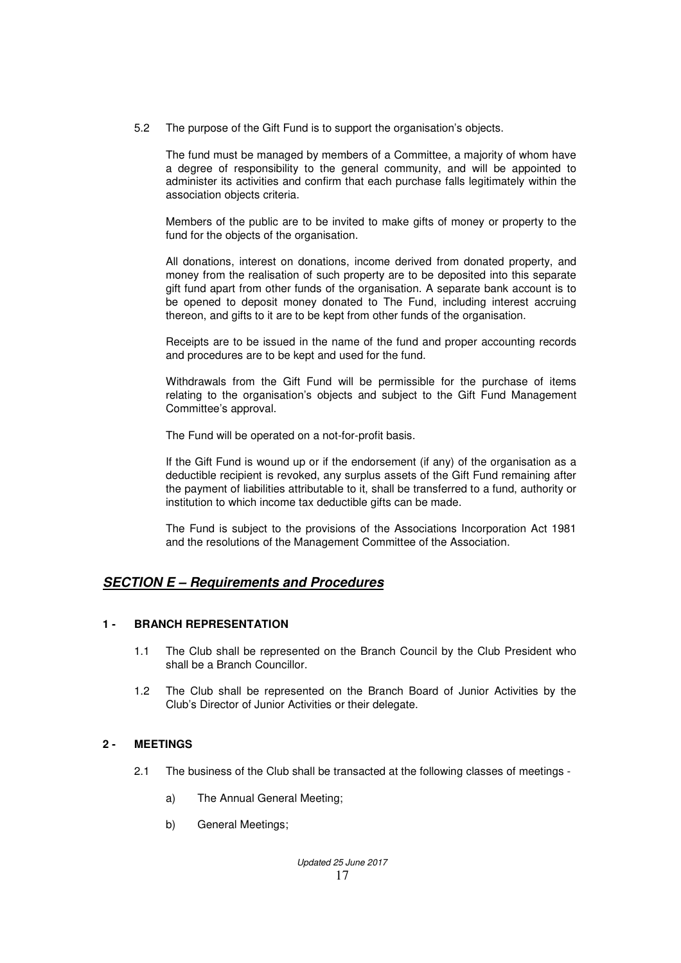5.2 The purpose of the Gift Fund is to support the organisation's objects.

 The fund must be managed by members of a Committee, a majority of whom have a degree of responsibility to the general community, and will be appointed to administer its activities and confirm that each purchase falls legitimately within the association objects criteria.

 Members of the public are to be invited to make gifts of money or property to the fund for the objects of the organisation.

 All donations, interest on donations, income derived from donated property, and money from the realisation of such property are to be deposited into this separate gift fund apart from other funds of the organisation. A separate bank account is to be opened to deposit money donated to The Fund, including interest accruing thereon, and gifts to it are to be kept from other funds of the organisation.

 Receipts are to be issued in the name of the fund and proper accounting records and procedures are to be kept and used for the fund.

 Withdrawals from the Gift Fund will be permissible for the purchase of items relating to the organisation's objects and subject to the Gift Fund Management Committee's approval.

The Fund will be operated on a not-for-profit basis.

 If the Gift Fund is wound up or if the endorsement (if any) of the organisation as a deductible recipient is revoked, any surplus assets of the Gift Fund remaining after the payment of liabilities attributable to it, shall be transferred to a fund, authority or institution to which income tax deductible gifts can be made.

 The Fund is subject to the provisions of the Associations Incorporation Act 1981 and the resolutions of the Management Committee of the Association.

# **SECTION E – Requirements and Procedures**

### **1 - BRANCH REPRESENTATION**

- 1.1 The Club shall be represented on the Branch Council by the Club President who shall be a Branch Councillor.
- 1.2 The Club shall be represented on the Branch Board of Junior Activities by the Club's Director of Junior Activities or their delegate.

### **2 - MEETINGS**

- 2.1 The business of the Club shall be transacted at the following classes of meetings
	- a) The Annual General Meeting;
	- b) General Meetings;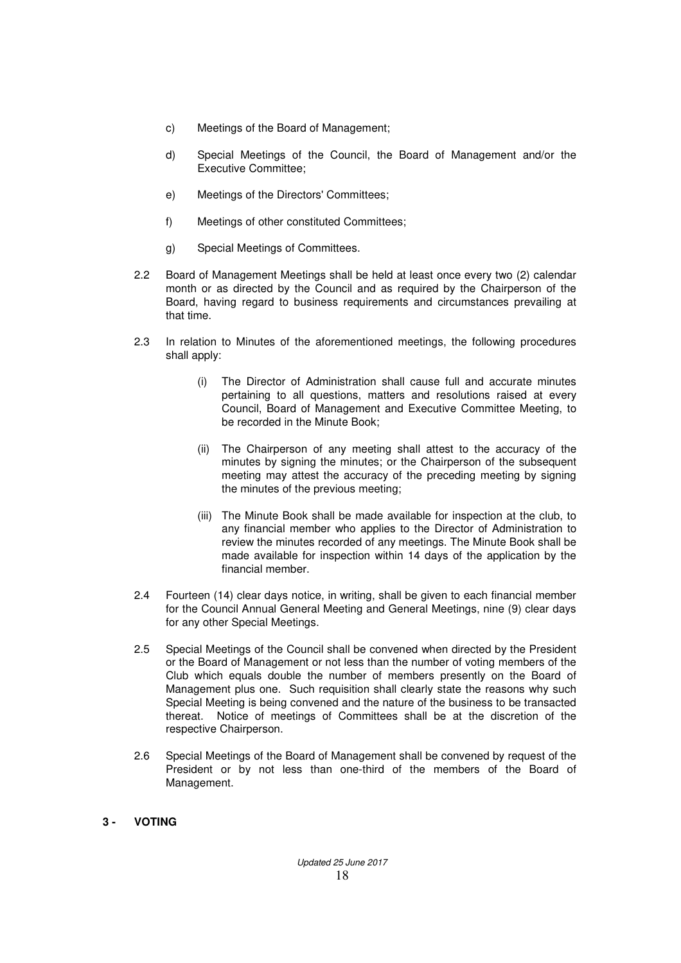- c) Meetings of the Board of Management;
- d) Special Meetings of the Council, the Board of Management and/or the Executive Committee;
- e) Meetings of the Directors' Committees;
- f) Meetings of other constituted Committees;
- g) Special Meetings of Committees.
- 2.2 Board of Management Meetings shall be held at least once every two (2) calendar month or as directed by the Council and as required by the Chairperson of the Board, having regard to business requirements and circumstances prevailing at that time.
- 2.3 In relation to Minutes of the aforementioned meetings, the following procedures shall apply:
	- (i) The Director of Administration shall cause full and accurate minutes pertaining to all questions, matters and resolutions raised at every Council, Board of Management and Executive Committee Meeting, to be recorded in the Minute Book;
	- (ii) The Chairperson of any meeting shall attest to the accuracy of the minutes by signing the minutes; or the Chairperson of the subsequent meeting may attest the accuracy of the preceding meeting by signing the minutes of the previous meeting;
	- (iii) The Minute Book shall be made available for inspection at the club, to any financial member who applies to the Director of Administration to review the minutes recorded of any meetings. The Minute Book shall be made available for inspection within 14 days of the application by the financial member.
- 2.4 Fourteen (14) clear days notice, in writing, shall be given to each financial member for the Council Annual General Meeting and General Meetings, nine (9) clear days for any other Special Meetings.
- 2.5 Special Meetings of the Council shall be convened when directed by the President or the Board of Management or not less than the number of voting members of the Club which equals double the number of members presently on the Board of Management plus one. Such requisition shall clearly state the reasons why such Special Meeting is being convened and the nature of the business to be transacted thereat. Notice of meetings of Committees shall be at the discretion of the respective Chairperson.
- 2.6 Special Meetings of the Board of Management shall be convened by request of the President or by not less than one-third of the members of the Board of Management.
- **3 VOTING**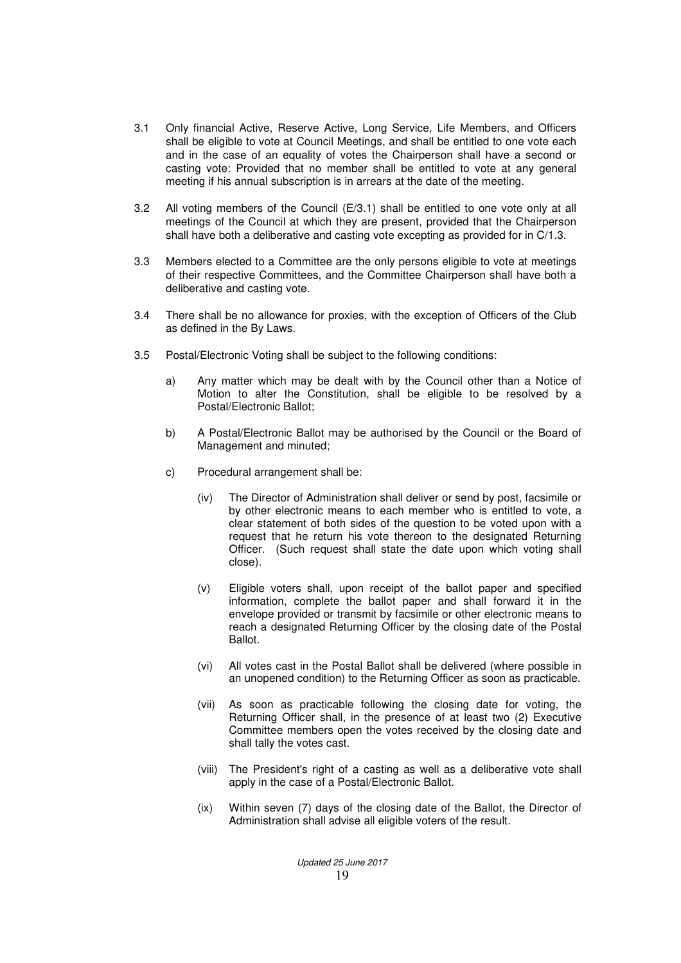- 3.1 Only financial Active, Reserve Active, Long Service, Life Members, and Officers shall be eligible to vote at Council Meetings, and shall be entitled to one vote each and in the case of an equality of votes the Chairperson shall have a second or casting vote: Provided that no member shall be entitled to vote at any general meeting if his annual subscription is in arrears at the date of the meeting.
- 3.2 All voting members of the Council (E/3.1) shall be entitled to one vote only at all meetings of the Council at which they are present, provided that the Chairperson shall have both a deliberative and casting vote excepting as provided for in C/1.3.
- 3.3 Members elected to a Committee are the only persons eligible to vote at meetings of their respective Committees, and the Committee Chairperson shall have both a deliberative and casting vote.
- 3.4 There shall be no allowance for proxies, with the exception of Officers of the Club as defined in the By Laws.
- 3.5 Postal/Electronic Voting shall be subject to the following conditions:
	- a) Any matter which may be dealt with by the Council other than a Notice of Motion to alter the Constitution, shall be eligible to be resolved by a Postal/Electronic Ballot;
	- b) A Postal/Electronic Ballot may be authorised by the Council or the Board of Management and minuted;
	- c) Procedural arrangement shall be:
		- (iv) The Director of Administration shall deliver or send by post, facsimile or by other electronic means to each member who is entitled to vote, a clear statement of both sides of the question to be voted upon with a request that he return his vote thereon to the designated Returning Officer. (Such request shall state the date upon which voting shall close).
		- (v) Eligible voters shall, upon receipt of the ballot paper and specified information, complete the ballot paper and shall forward it in the envelope provided or transmit by facsimile or other electronic means to reach a designated Returning Officer by the closing date of the Postal Ballot.
		- (vi) All votes cast in the Postal Ballot shall be delivered (where possible in an unopened condition) to the Returning Officer as soon as practicable.
		- (vii) As soon as practicable following the closing date for voting, the Returning Officer shall, in the presence of at least two (2) Executive Committee members open the votes received by the closing date and shall tally the votes cast.
		- (viii) The President's right of a casting as well as a deliberative vote shall apply in the case of a Postal/Electronic Ballot.
		- (ix) Within seven (7) days of the closing date of the Ballot, the Director of Administration shall advise all eligible voters of the result.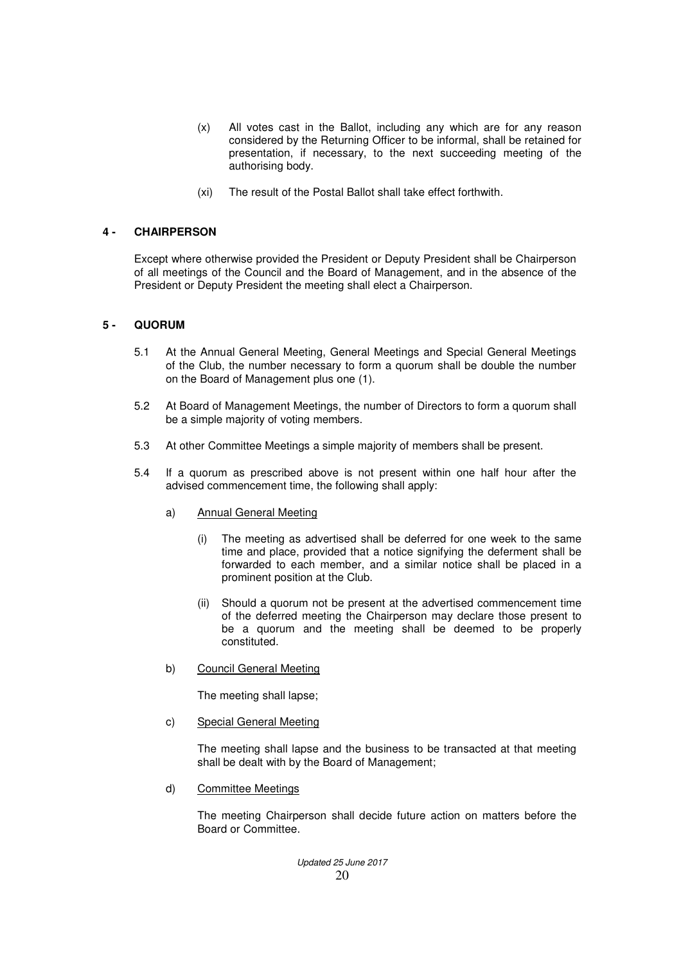- (x) All votes cast in the Ballot, including any which are for any reason considered by the Returning Officer to be informal, shall be retained for presentation, if necessary, to the next succeeding meeting of the authorising body.
- (xi) The result of the Postal Ballot shall take effect forthwith.

## **4 - CHAIRPERSON**

Except where otherwise provided the President or Deputy President shall be Chairperson of all meetings of the Council and the Board of Management, and in the absence of the President or Deputy President the meeting shall elect a Chairperson.

## **5 - QUORUM**

- 5.1 At the Annual General Meeting, General Meetings and Special General Meetings of the Club, the number necessary to form a quorum shall be double the number on the Board of Management plus one (1).
- 5.2 At Board of Management Meetings, the number of Directors to form a quorum shall be a simple majority of voting members.
- 5.3 At other Committee Meetings a simple majority of members shall be present.
- 5.4 If a quorum as prescribed above is not present within one half hour after the advised commencement time, the following shall apply:
	- a) Annual General Meeting
		- (i) The meeting as advertised shall be deferred for one week to the same time and place, provided that a notice signifying the deferment shall be forwarded to each member, and a similar notice shall be placed in a prominent position at the Club.
		- (ii) Should a quorum not be present at the advertised commencement time of the deferred meeting the Chairperson may declare those present to be a quorum and the meeting shall be deemed to be properly constituted.
	- b) Council General Meeting

The meeting shall lapse;

c) Special General Meeting

 The meeting shall lapse and the business to be transacted at that meeting shall be dealt with by the Board of Management;

d) Committee Meetings

 The meeting Chairperson shall decide future action on matters before the Board or Committee.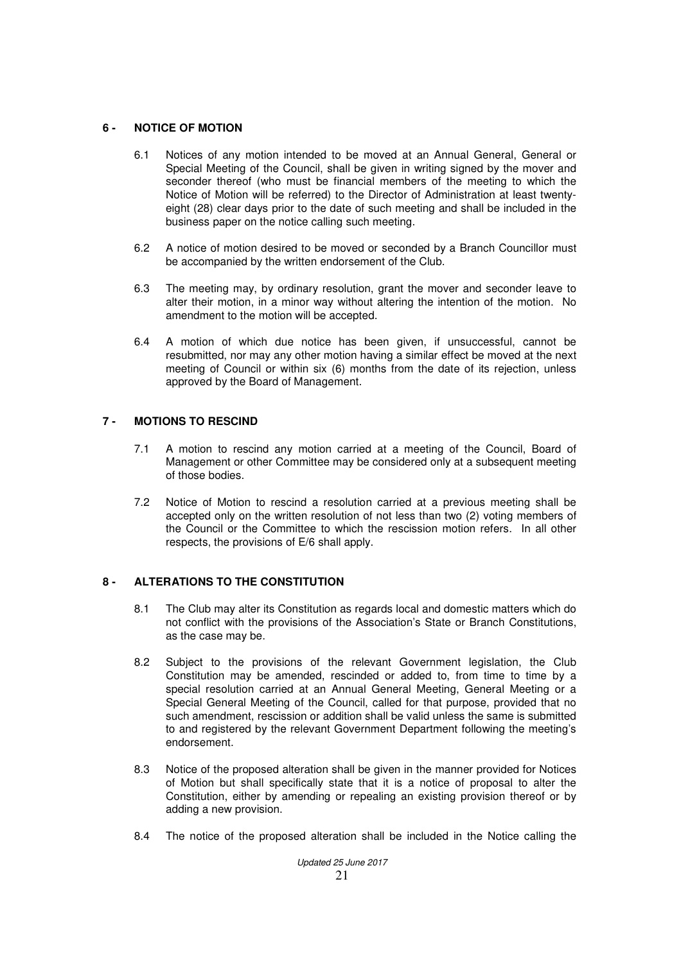### **6 - NOTICE OF MOTION**

- 6.1 Notices of any motion intended to be moved at an Annual General, General or Special Meeting of the Council, shall be given in writing signed by the mover and seconder thereof (who must be financial members of the meeting to which the Notice of Motion will be referred) to the Director of Administration at least twentyeight (28) clear days prior to the date of such meeting and shall be included in the business paper on the notice calling such meeting.
- 6.2 A notice of motion desired to be moved or seconded by a Branch Councillor must be accompanied by the written endorsement of the Club.
- 6.3 The meeting may, by ordinary resolution, grant the mover and seconder leave to alter their motion, in a minor way without altering the intention of the motion. No amendment to the motion will be accepted.
- 6.4 A motion of which due notice has been given, if unsuccessful, cannot be resubmitted, nor may any other motion having a similar effect be moved at the next meeting of Council or within six (6) months from the date of its rejection, unless approved by the Board of Management.

## **7 - MOTIONS TO RESCIND**

- 7.1 A motion to rescind any motion carried at a meeting of the Council, Board of Management or other Committee may be considered only at a subsequent meeting of those bodies.
- 7.2 Notice of Motion to rescind a resolution carried at a previous meeting shall be accepted only on the written resolution of not less than two (2) voting members of the Council or the Committee to which the rescission motion refers. In all other respects, the provisions of E/6 shall apply.

## **8 - ALTERATIONS TO THE CONSTITUTION**

- 8.1 The Club may alter its Constitution as regards local and domestic matters which do not conflict with the provisions of the Association's State or Branch Constitutions, as the case may be.
- 8.2 Subject to the provisions of the relevant Government legislation, the Club Constitution may be amended, rescinded or added to, from time to time by a special resolution carried at an Annual General Meeting, General Meeting or a Special General Meeting of the Council, called for that purpose, provided that no such amendment, rescission or addition shall be valid unless the same is submitted to and registered by the relevant Government Department following the meeting's endorsement.
- 8.3 Notice of the proposed alteration shall be given in the manner provided for Notices of Motion but shall specifically state that it is a notice of proposal to alter the Constitution, either by amending or repealing an existing provision thereof or by adding a new provision.
- 8.4 The notice of the proposed alteration shall be included in the Notice calling the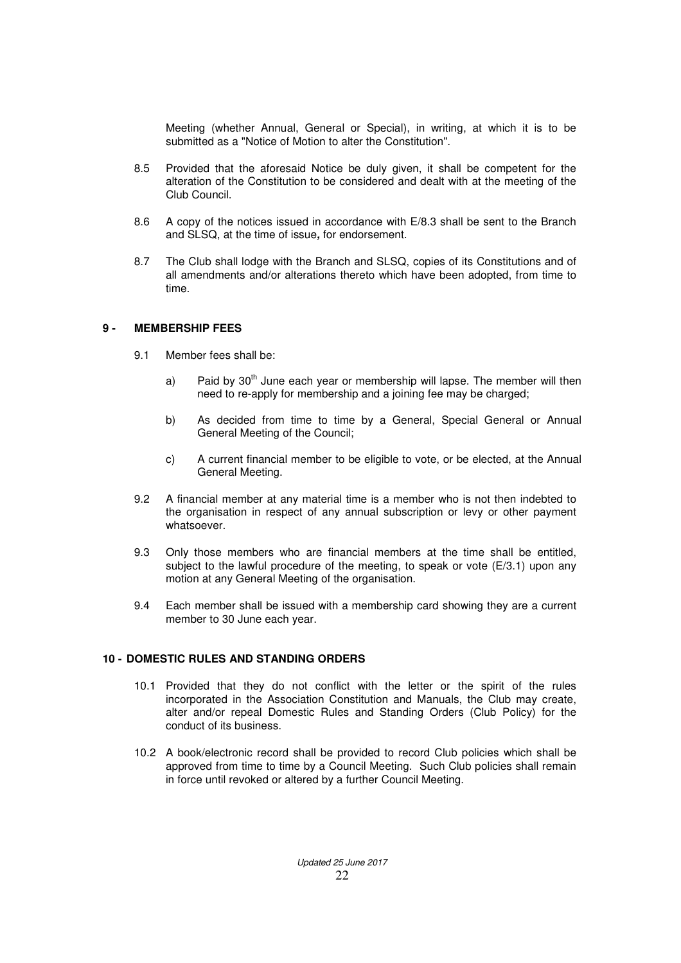Meeting (whether Annual, General or Special), in writing, at which it is to be submitted as a "Notice of Motion to alter the Constitution".

- 8.5 Provided that the aforesaid Notice be duly given, it shall be competent for the alteration of the Constitution to be considered and dealt with at the meeting of the Club Council.
- 8.6 A copy of the notices issued in accordance with E/8.3 shall be sent to the Branch and SLSQ, at the time of issue**,** for endorsement.
- 8.7 The Club shall lodge with the Branch and SLSQ, copies of its Constitutions and of all amendments and/or alterations thereto which have been adopted, from time to time.

#### **9 - MEMBERSHIP FEES**

- 9.1 Member fees shall be:
	- a) Paid by  $30<sup>th</sup>$  June each year or membership will lapse. The member will then need to re-apply for membership and a joining fee may be charged;
	- b) As decided from time to time by a General, Special General or Annual General Meeting of the Council;
	- c) A current financial member to be eligible to vote, or be elected, at the Annual General Meeting.
- 9.2 A financial member at any material time is a member who is not then indebted to the organisation in respect of any annual subscription or levy or other payment whatsoever.
- 9.3 Only those members who are financial members at the time shall be entitled, subject to the lawful procedure of the meeting, to speak or vote  $(E/3.1)$  upon any motion at any General Meeting of the organisation.
- 9.4 Each member shall be issued with a membership card showing they are a current member to 30 June each year.

### **10 - DOMESTIC RULES AND STANDING ORDERS**

- 10.1 Provided that they do not conflict with the letter or the spirit of the rules incorporated in the Association Constitution and Manuals, the Club may create, alter and/or repeal Domestic Rules and Standing Orders (Club Policy) for the conduct of its business.
- 10.2 A book/electronic record shall be provided to record Club policies which shall be approved from time to time by a Council Meeting. Such Club policies shall remain in force until revoked or altered by a further Council Meeting.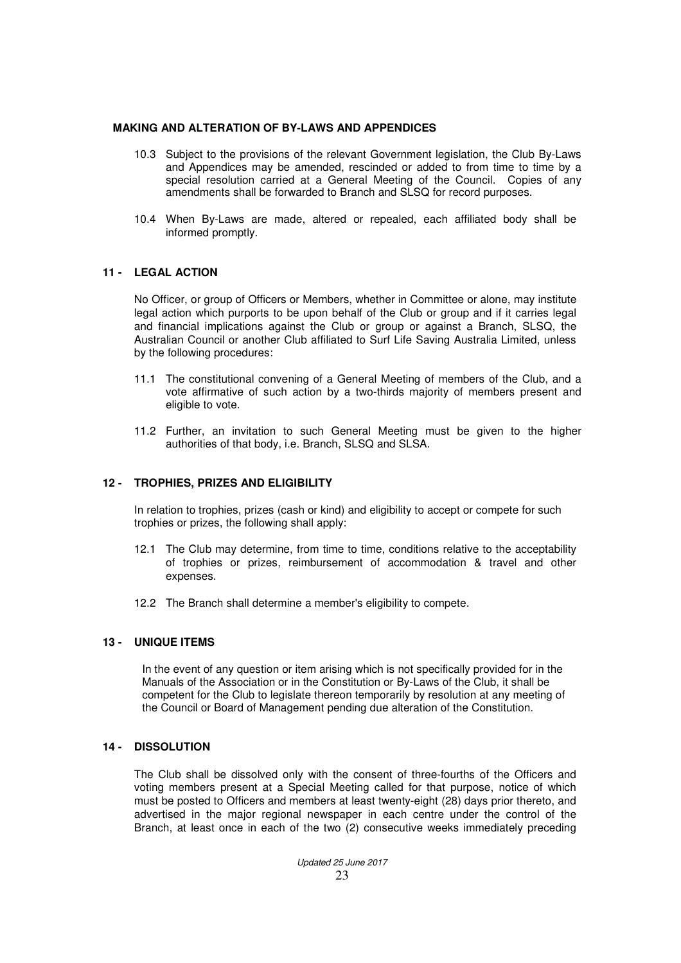#### **MAKING AND ALTERATION OF BY-LAWS AND APPENDICES**

- 10.3 Subject to the provisions of the relevant Government legislation, the Club By-Laws and Appendices may be amended, rescinded or added to from time to time by a special resolution carried at a General Meeting of the Council. Copies of any amendments shall be forwarded to Branch and SLSQ for record purposes.
- 10.4 When By-Laws are made, altered or repealed, each affiliated body shall be informed promptly.

#### **11 - LEGAL ACTION**

No Officer, or group of Officers or Members, whether in Committee or alone, may institute legal action which purports to be upon behalf of the Club or group and if it carries legal and financial implications against the Club or group or against a Branch, SLSQ, the Australian Council or another Club affiliated to Surf Life Saving Australia Limited, unless by the following procedures:

- 11.1 The constitutional convening of a General Meeting of members of the Club, and a vote affirmative of such action by a two-thirds majority of members present and eligible to vote.
- 11.2 Further, an invitation to such General Meeting must be given to the higher authorities of that body, i.e. Branch, SLSQ and SLSA.

#### **12 - TROPHIES, PRIZES AND ELIGIBILITY**

In relation to trophies, prizes (cash or kind) and eligibility to accept or compete for such trophies or prizes, the following shall apply:

- 12.1 The Club may determine, from time to time, conditions relative to the acceptability of trophies or prizes, reimbursement of accommodation & travel and other expenses.
- 12.2 The Branch shall determine a member's eligibility to compete.

#### **13 - UNIQUE ITEMS**

In the event of any question or item arising which is not specifically provided for in the Manuals of the Association or in the Constitution or By-Laws of the Club, it shall be competent for the Club to legislate thereon temporarily by resolution at any meeting of the Council or Board of Management pending due alteration of the Constitution.

#### **14 - DISSOLUTION**

 The Club shall be dissolved only with the consent of three-fourths of the Officers and voting members present at a Special Meeting called for that purpose, notice of which must be posted to Officers and members at least twenty-eight (28) days prior thereto, and advertised in the major regional newspaper in each centre under the control of the Branch, at least once in each of the two (2) consecutive weeks immediately preceding